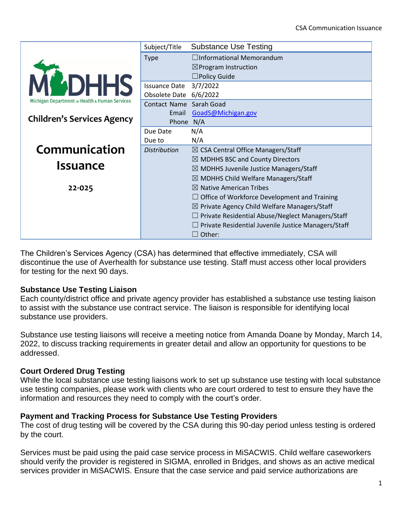|                                                | Subject/Title           | <b>Substance Use Testing</b>                               |
|------------------------------------------------|-------------------------|------------------------------------------------------------|
|                                                | <b>Type</b>             | $\Box$ Informational Memorandum                            |
|                                                |                         | $\boxtimes$ Program Instruction                            |
|                                                |                         | $\square$ Policy Guide                                     |
| <b>ADHHS</b>                                   | <b>Issuance Date</b>    | 3/7/2022                                                   |
| Michigan Department of Health & Human Services | Obsolete Date 6/6/2022  |                                                            |
|                                                | Contact Name Sarah Goad |                                                            |
| <b>Children's Services Agency</b>              | Email                   | GoadS@Michigan.gov                                         |
|                                                | Phone N/A               |                                                            |
|                                                | Due Date                | N/A                                                        |
|                                                | Due to                  | N/A                                                        |
| Communication                                  | <b>Distribution</b>     | $\boxtimes$ CSA Central Office Managers/Staff              |
| <b>Issuance</b>                                |                         | $\boxtimes$ MDHHS BSC and County Directors                 |
|                                                |                         | $\boxtimes$ MDHHS Juvenile Justice Managers/Staff          |
|                                                |                         | $\boxtimes$ MDHHS Child Welfare Managers/Staff             |
| 22-025                                         |                         | $\boxtimes$ Native American Tribes                         |
|                                                |                         | $\Box$ Office of Workforce Development and Training        |
|                                                |                         | $\boxtimes$ Private Agency Child Welfare Managers/Staff    |
|                                                |                         | $\Box$ Private Residential Abuse/Neglect Managers/Staff    |
|                                                |                         | $\Box$ Private Residential Juvenile Justice Managers/Staff |
|                                                |                         | $\Box$ Other:                                              |

The Children's Services Agency (CSA) has determined that effective immediately, CSA will discontinue the use of Averhealth for substance use testing. Staff must access other local providers for testing for the next 90 days.

## **Substance Use Testing Liaison**

Each county/district office and private agency provider has established a substance use testing liaison to assist with the substance use contract service. The liaison is responsible for identifying local substance use providers.

Substance use testing liaisons will receive a meeting notice from Amanda Doane by Monday, March 14, 2022, to discuss tracking requirements in greater detail and allow an opportunity for questions to be addressed.

## **Court Ordered Drug Testing**

While the local substance use testing liaisons work to set up substance use testing with local substance use testing companies, please work with clients who are court ordered to test to ensure they have the information and resources they need to comply with the court's order.

## **Payment and Tracking Process for Substance Use Testing Providers**

The cost of drug testing will be covered by the CSA during this 90-day period unless testing is ordered by the court.

Services must be paid using the paid case service process in MiSACWIS. Child welfare caseworkers should verify the provider is registered in SIGMA, enrolled in Bridges, and shows as an active medical services provider in MiSACWIS. Ensure that the case service and paid service authorizations are